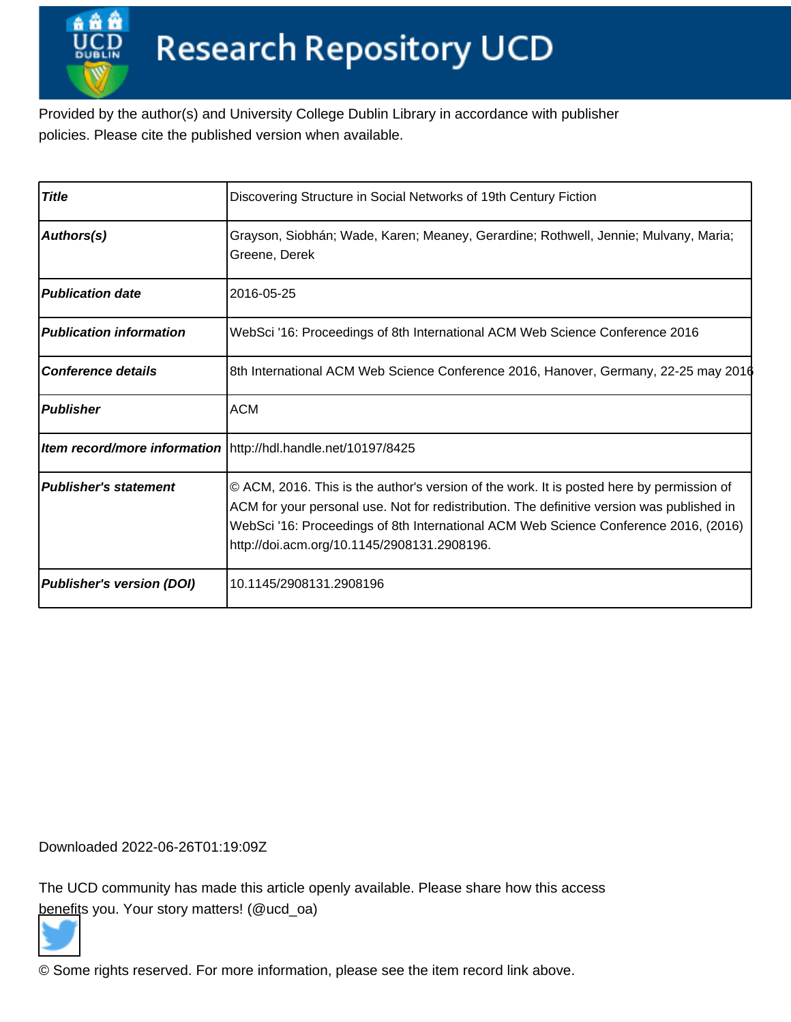Provided by the author(s) and University College Dublin Library in accordance with publisher policies. Please cite the published version when available.

| <b>Title</b>                     | Discovering Structure in Social Networks of 19th Century Fiction                                                                                                                                                                                                                                                               |
|----------------------------------|--------------------------------------------------------------------------------------------------------------------------------------------------------------------------------------------------------------------------------------------------------------------------------------------------------------------------------|
| Authors(s)                       | Grayson, Siobhán; Wade, Karen; Meaney, Gerardine; Rothwell, Jennie; Mulvany, Maria;<br>Greene, Derek                                                                                                                                                                                                                           |
| <b>Publication date</b>          | 2016-05-25                                                                                                                                                                                                                                                                                                                     |
| <b>Publication information</b>   | WebSci '16: Proceedings of 8th International ACM Web Science Conference 2016                                                                                                                                                                                                                                                   |
| <b>Conference details</b>        | 8th International ACM Web Science Conference 2016, Hanover, Germany, 22-25 may 2016                                                                                                                                                                                                                                            |
| <b>Publisher</b>                 | <b>ACM</b>                                                                                                                                                                                                                                                                                                                     |
|                                  | Item record/more information   http://hdl.handle.net/10197/8425                                                                                                                                                                                                                                                                |
| <b>Publisher's statement</b>     | © ACM, 2016. This is the author's version of the work. It is posted here by permission of<br>ACM for your personal use. Not for redistribution. The definitive version was published in<br>WebSci '16: Proceedings of 8th International ACM Web Science Conference 2016, (2016)<br>http://doi.acm.org/10.1145/2908131.2908196. |
| <b>Publisher's version (DOI)</b> | 10.1145/2908131.2908196                                                                                                                                                                                                                                                                                                        |

Downloaded 2022-06-26T01:19:09Z

The UCD community has made this article openly available. Please share how this access [benefit](https://twitter.com/intent/tweet?via=ucd_oa&text=DOI%3A10.1145%2F2908131.2908196&url=http%3A%2F%2Fhdl.handle.net%2F10197%2F8425)s you. Your story matters! (@ucd\_oa)



© Some rights reserved. For more information, please see the item record link above.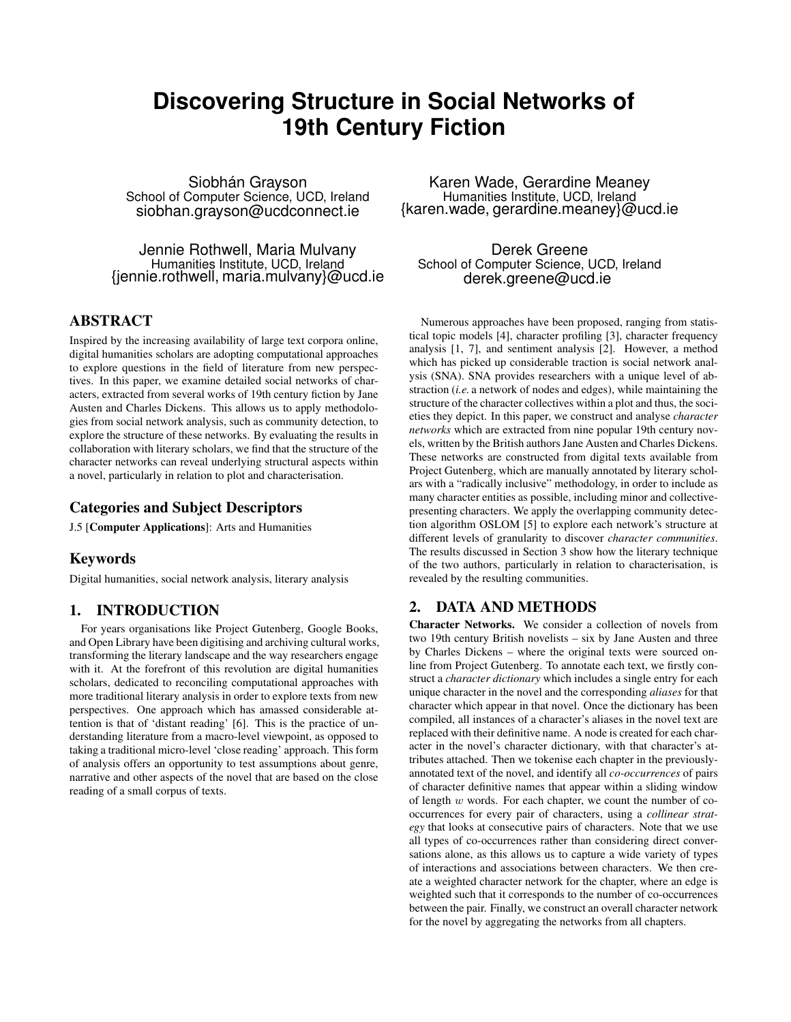# **Discovering Structure in Social Networks of 19th Century Fiction**

Siobhán Grayson School of Computer Science, UCD, Ireland siobhan.grayson@ucdconnect.ie

Jennie Rothwell, Maria Mulvany Humanities Institute, UCD, Ireland {jennie.rothwell, maria.mulvany}@ucd.ie

## ABSTRACT

Inspired by the increasing availability of large text corpora online, digital humanities scholars are adopting computational approaches to explore questions in the field of literature from new perspectives. In this paper, we examine detailed social networks of characters, extracted from several works of 19th century fiction by Jane Austen and Charles Dickens. This allows us to apply methodologies from social network analysis, such as community detection, to explore the structure of these networks. By evaluating the results in collaboration with literary scholars, we find that the structure of the character networks can reveal underlying structural aspects within a novel, particularly in relation to plot and characterisation.

#### Categories and Subject Descriptors

J.5 [Computer Applications]: Arts and Humanities

## Keywords

Digital humanities, social network analysis, literary analysis

# 1. INTRODUCTION

For years organisations like Project Gutenberg, Google Books, and Open Library have been digitising and archiving cultural works, transforming the literary landscape and the way researchers engage with it. At the forefront of this revolution are digital humanities scholars, dedicated to reconciling computational approaches with more traditional literary analysis in order to explore texts from new perspectives. One approach which has amassed considerable attention is that of 'distant reading' [6]. This is the practice of understanding literature from a macro-level viewpoint, as opposed to taking a traditional micro-level 'close reading' approach. This form of analysis offers an opportunity to test assumptions about genre, narrative and other aspects of the novel that are based on the close reading of a small corpus of texts.

Karen Wade, Gerardine Meaney Humanities Institute, UCD, Ireland {karen.wade, gerardine.meaney}@ucd.ie

Derek Greene School of Computer Science, UCD, Ireland derek.greene@ucd.ie

Numerous approaches have been proposed, ranging from statistical topic models [4], character profiling [3], character frequency analysis [1, 7], and sentiment analysis [2]. However, a method which has picked up considerable traction is social network analysis (SNA). SNA provides researchers with a unique level of abstraction (*i.e.* a network of nodes and edges), while maintaining the structure of the character collectives within a plot and thus, the societies they depict. In this paper, we construct and analyse *character networks* which are extracted from nine popular 19th century novels, written by the British authors Jane Austen and Charles Dickens. These networks are constructed from digital texts available from Project Gutenberg, which are manually annotated by literary scholars with a "radically inclusive" methodology, in order to include as many character entities as possible, including minor and collectivepresenting characters. We apply the overlapping community detection algorithm OSLOM [5] to explore each network's structure at different levels of granularity to discover *character communities*. The results discussed in Section 3 show how the literary technique of the two authors, particularly in relation to characterisation, is revealed by the resulting communities.

## 2. DATA AND METHODS

Character Networks. We consider a collection of novels from two 19th century British novelists – six by Jane Austen and three by Charles Dickens – where the original texts were sourced online from Project Gutenberg. To annotate each text, we firstly construct a *character dictionary* which includes a single entry for each unique character in the novel and the corresponding *aliases* for that character which appear in that novel. Once the dictionary has been compiled, all instances of a character's aliases in the novel text are replaced with their definitive name. A node is created for each character in the novel's character dictionary, with that character's attributes attached. Then we tokenise each chapter in the previouslyannotated text of the novel, and identify all *co-occurrences* of pairs of character definitive names that appear within a sliding window of length  $w$  words. For each chapter, we count the number of cooccurrences for every pair of characters, using a *collinear strategy* that looks at consecutive pairs of characters. Note that we use all types of co-occurrences rather than considering direct conversations alone, as this allows us to capture a wide variety of types of interactions and associations between characters. We then create a weighted character network for the chapter, where an edge is weighted such that it corresponds to the number of co-occurrences between the pair. Finally, we construct an overall character network for the novel by aggregating the networks from all chapters.